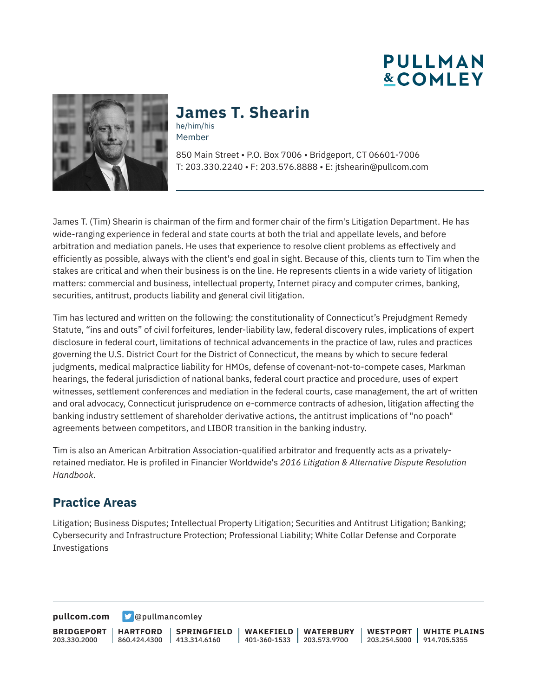**PULLMAN &COMLEY** 



## **James T. Shearin**

he/him/his Member

850 Main Street • P.O. Box 7006 • Bridgeport, CT 06601-7006 T: 203.330.2240 • F: 203.576.8888 • E: jtshearin@pullcom.com

James T. (Tim) Shearin is chairman of the firm and former chair of the firm's Litigation Department. He has wide-ranging experience in federal and state courts at both the trial and appellate levels, and before arbitration and mediation panels. He uses that experience to resolve client problems as effectively and efficiently as possible, always with the client's end goal in sight. Because of this, clients turn to Tim when the stakes are critical and when their business is on the line. He represents clients in a wide variety of litigation matters: commercial and business, intellectual property, Internet piracy and computer crimes, banking, securities, antitrust, products liability and general civil litigation.

Tim has lectured and written on the following: the constitutionality of Connecticut's Prejudgment Remedy Statute, "ins and outs" of civil forfeitures, lender-liability law, federal discovery rules, implications of expert disclosure in federal court, limitations of technical advancements in the practice of law, rules and practices governing the U.S. District Court for the District of Connecticut, the means by which to secure federal judgments, medical malpractice liability for HMOs, defense of covenant-not-to-compete cases, Markman hearings, the federal jurisdiction of national banks, federal court practice and procedure, uses of expert witnesses, settlement conferences and mediation in the federal courts, case management, the art of written and oral advocacy, Connecticut jurisprudence on e-commerce contracts of adhesion, litigation affecting the banking industry settlement of shareholder derivative actions, the antitrust implications of "no poach" agreements between competitors, and LIBOR transition in the banking industry.

Tim is also an American Arbitration Association-qualified arbitrator and frequently acts as a privatelyretained mediator. He is profiled in Financier Worldwide's *2016 Litigation & Alternative Dispute Resolution Handbook.* 

### **Practice Areas**

Litigation; Business Disputes; Intellectual Property Litigation; Securities and Antitrust Litigation; Banking; Cybersecurity and Infrastructure Protection; Professional Liability; White Collar Defense and Corporate Investigations

**[pullcom.com](https://www.pullcom.com) g** [@pullmancomley](https://twitter.com/PullmanComley)

**BRIDGEPORT** 203.330.2000

**HARTFORD**

860.424.4300 413.314.6160 **SPRINGFIELD** **WAKEFIELD** 401-360-1533 203.573.9700 **WATERBURY WESTPORT**

203.254.5000 914.705.5355 **WHITE PLAINS**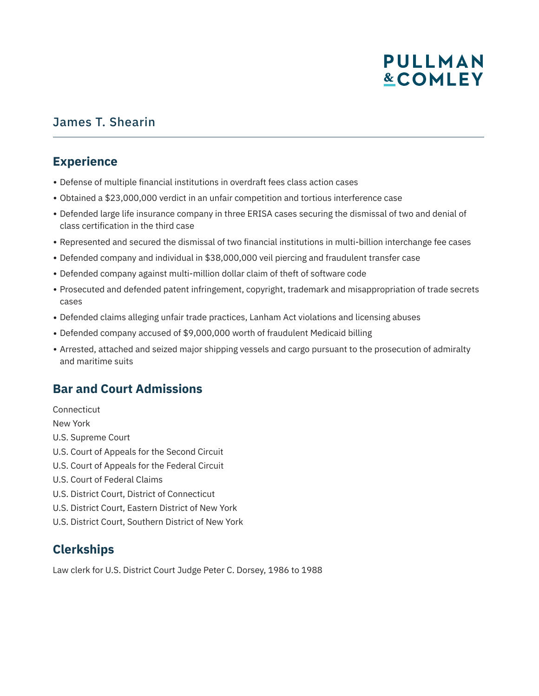## James T. Shearin

### **Experience**

- Defense of multiple financial institutions in overdraft fees class action cases
- Obtained a \$23,000,000 verdict in an unfair competition and tortious interference case
- Defended large life insurance company in three ERISA cases securing the dismissal of two and denial of class certification in the third case
- Represented and secured the dismissal of two financial institutions in multi-billion interchange fee cases
- Defended company and individual in \$38,000,000 veil piercing and fraudulent transfer case
- Defended company against multi-million dollar claim of theft of software code
- Prosecuted and defended patent infringement, copyright, trademark and misappropriation of trade secrets cases
- Defended claims alleging unfair trade practices, Lanham Act violations and licensing abuses
- Defended company accused of \$9,000,000 worth of fraudulent Medicaid billing
- Arrested, attached and seized major shipping vessels and cargo pursuant to the prosecution of admiralty and maritime suits

## **Bar and Court Admissions**

**Connecticut** New York U.S. Supreme Court U.S. Court of Appeals for the Second Circuit U.S. Court of Appeals for the Federal Circuit U.S. Court of Federal Claims U.S. District Court, District of Connecticut U.S. District Court, Eastern District of New York U.S. District Court, Southern District of New York

## **Clerkships**

Law clerk for U.S. District Court Judge Peter C. Dorsey, 1986 to 1988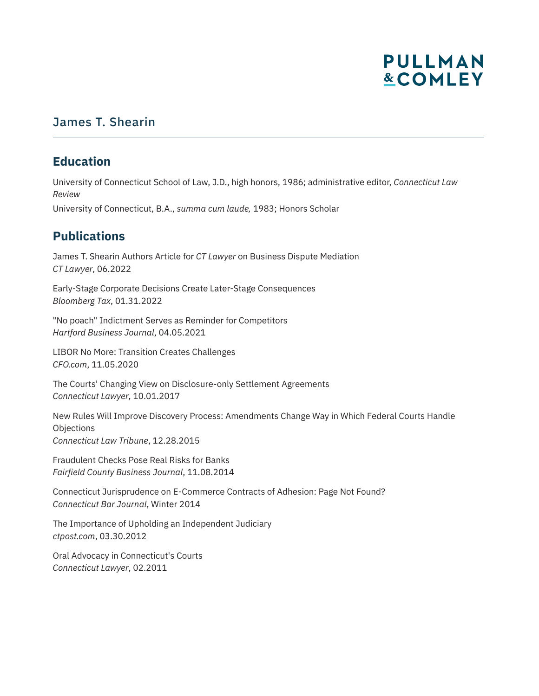### James T. Shearin

### **Education**

University of Connecticut School of Law, J.D., high honors, 1986; administrative editor, *Connecticut Law Review*

University of Connecticut, B.A., *summa cum laude,* 1983; Honors Scholar

## **Publications**

James T. Shearin Authors Article for *CT Lawyer* on Business Dispute Mediation *CT Lawyer*, 06.2022

Early-Stage Corporate Decisions Create Later-Stage Consequences *Bloomberg Tax*, 01.31.2022

"No poach" Indictment Serves as Reminder for Competitors *Hartford Business Journal*, 04.05.2021

LIBOR No More: Transition Creates Challenges *CFO.com*, 11.05.2020

The Courts' Changing View on Disclosure-only Settlement Agreements *Connecticut Lawyer*, 10.01.2017

New Rules Will Improve Discovery Process: Amendments Change Way in Which Federal Courts Handle **Objections** *Connecticut Law Tribune*, 12.28.2015

Fraudulent Checks Pose Real Risks for Banks *Fairfield County Business Journal*, 11.08.2014

Connecticut Jurisprudence on E-Commerce Contracts of Adhesion: Page Not Found? *Connecticut Bar Journal*, Winter 2014

The Importance of Upholding an Independent Judiciary *ctpost.com*, 03.30.2012

Oral Advocacy in Connecticut's Courts *Connecticut Lawyer*, 02.2011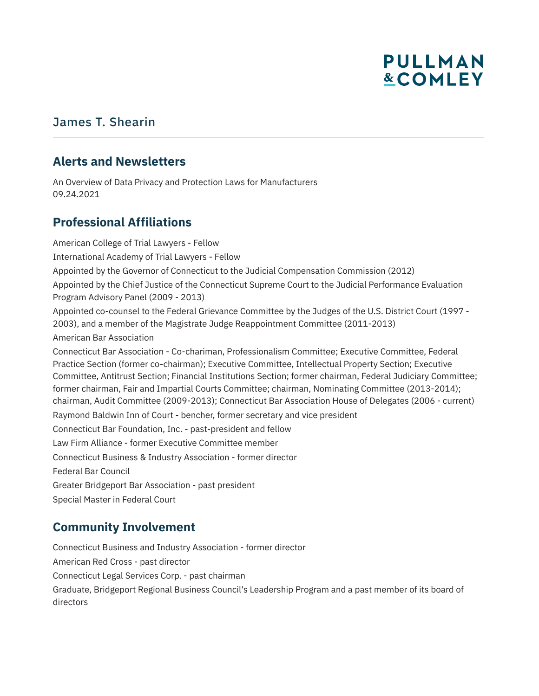### James T. Shearin

#### **Alerts and Newsletters**

An Overview of Data Privacy and Protection Laws for Manufacturers 09.24.2021

### **Professional Affiliations**

American College of Trial Lawyers - Fellow International Academy of Trial Lawyers - Fellow Appointed by the Governor of Connecticut to the Judicial Compensation Commission (2012) Appointed by the Chief Justice of the Connecticut Supreme Court to the Judicial Performance Evaluation Program Advisory Panel (2009 - 2013) Appointed co-counsel to the Federal Grievance Committee by the Judges of the U.S. District Court (1997 - 2003), and a member of the Magistrate Judge Reappointment Committee (2011-2013) American Bar Association Connecticut Bar Association - Co-chariman, Professionalism Committee; Executive Committee, Federal Practice Section (former co-chairman); Executive Committee, Intellectual Property Section; Executive Committee, Antitrust Section; Financial Institutions Section; former chairman, Federal Judiciary Committee; former chairman, Fair and Impartial Courts Committee; chairman, Nominating Committee (2013-2014); chairman, Audit Committee (2009-2013); Connecticut Bar Association House of Delegates (2006 - current) Raymond Baldwin Inn of Court - bencher, former secretary and vice president Connecticut Bar Foundation, Inc. - past-president and fellow Law Firm Alliance - former Executive Committee member Connecticut Business & Industry Association - former director Federal Bar Council Greater Bridgeport Bar Association - past president Special Master in Federal Court

### **Community Involvement**

Connecticut Business and Industry Association - former director American Red Cross - past director Connecticut Legal Services Corp. - past chairman Graduate, Bridgeport Regional Business Council's Leadership Program and a past member of its board of directors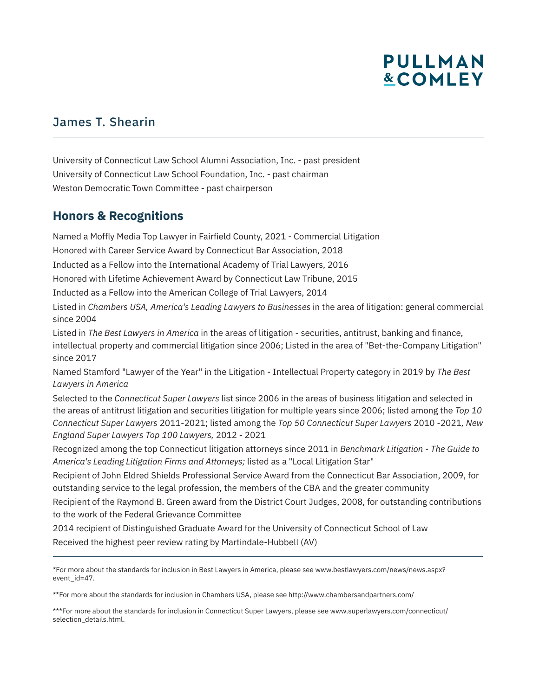## James T. Shearin

University of Connecticut Law School Alumni Association, Inc. - past president University of Connecticut Law School Foundation, Inc. - past chairman Weston Democratic Town Committee - past chairperson

### **Honors & Recognitions**

l

Named a Moffly Media Top Lawyer in Fairfield County, 2021 - Commercial Litigation Honored with Career Service Award by Connecticut Bar Association, 2018 Inducted as a Fellow into the International Academy of Trial Lawyers, 2016 Honored with Lifetime Achievement Award by Connecticut Law Tribune, 2015 Inducted as a Fellow into the American College of Trial Lawyers, 2014 Listed in *Chambers USA, America's Leading Lawyers to Businesses* in the area of litigation: general commercial since 2004 Listed in *The Best Lawyers in America* in the areas of litigation - securities, antitrust, banking and finance, intellectual property and commercial litigation since 2006; Listed in the area of "Bet-the-Company Litigation" since 2017 Named Stamford "Lawyer of the Year" in the Litigation - Intellectual Property category in 2019 by *The Best Lawyers in America* Selected to the *Connecticut Super Lawyers* list since 2006 in the areas of business litigation and selected in the areas of antitrust litigation and securities litigation for multiple years since 2006; listed among the *Top 10 Connecticut Super Lawyers* 2011-2021; listed among the *Top 50 Connecticut Super Lawyers* 2010 -2021*, New England Super Lawyers Top 100 Lawyers,* 2012 - 2021 Recognized among the top Connecticut litigation attorneys since 2011 in *Benchmark Litigation - The Guide to America's Leading Litigation Firms and Attorneys;* listed as a "Local Litigation Star"

Recipient of John Eldred Shields Professional Service Award from the Connecticut Bar Association, 2009, for outstanding service to the legal profession, the members of the CBA and the greater community

Recipient of the Raymond B. Green award from the District Court Judges, 2008, for outstanding contributions to the work of the Federal Grievance Committee

2014 recipient of Distinguished Graduate Award for the University of Connecticut School of Law

Received the highest peer review rating by Martindale-Hubbell (AV)

\*For more about the standards for inclusion in Best Lawyers in America, please see www.bestlawyers.com/news/news.aspx? event\_id=47.

\*\*For more about the standards for inclusion in Chambers USA, please see http://www.chambersandpartners.com/

\*\*\*For more about the standards for inclusion in Connecticut Super Lawyers, please see www.superlawyers.com/connecticut/ selection\_details.html.